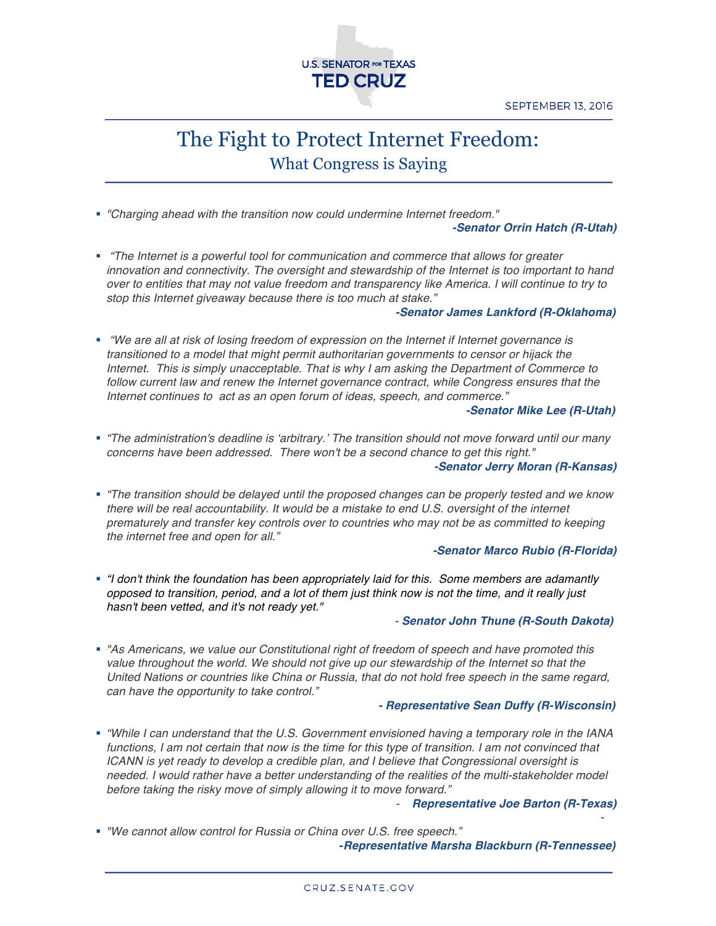

# The Fight to Protect Internet Freedom: What Congress is Saying

! *"Charging ahead with the transition now could undermine Internet freedom."* 

## *-Senator Orrin Hatch (R-Utah)*

! *"The Internet is a powerful tool for communication and commerce that allows for greater innovation and connectivity. The oversight and stewardship of the Internet is too important to hand over to entities that may not value freedom and transparency like America. I will continue to try to stop this Internet giveaway because there is too much at stake."*

## *-Senator James Lankford (R-Oklahoma)*

! *"We are all at risk of losing freedom of expression on the Internet if Internet governance is transitioned to a model that might permit authoritarian governments to censor or hijack the Internet. This is simply unacceptable. That is why I am asking the Department of Commerce to follow current law and renew the Internet governance contract, while Congress ensures that the Internet continues to act as an open forum of ideas, speech, and commerce."*

# *-Senator Mike Lee (R-Utah)*

- ! *"The administration's deadline is 'arbitrary.' The transition should not move forward until our many concerns have been addressed. There won't be a second chance to get this right." -Senator Jerry Moran (R-Kansas)*
- ! *"The transition should be delayed until the proposed changes can be properly tested and we know there will be real accountability. It would be a mistake to end U.S. oversight of the internet prematurely and transfer key controls over to countries who may not be as committed to keeping the internet free and open for all."*

# *-Senator Marco Rubio (R-Florida)*

! *"I don't think the foundation has been appropriately laid for this. Some members are adamantly opposed to transition, period, and a lot of them just think now is not the time, and it really just hasn't been vetted, and it's not ready yet."*

#### *- Senator John Thune (R-South Dakota)*

! *"As Americans, we value our Constitutional right of freedom of speech and have promoted this*  value throughout the world. We should not give up our stewardship of the Internet so that the *United Nations or countries like China or Russia, that do not hold free speech in the same regard, can have the opportunity to take control."*

# *- Representative Sean Duffy (R-Wisconsin)*

! *"While I can understand that the U.S. Government envisioned having a temporary role in the IANA functions, I am not certain that now is the time for this type of transition. I am not convinced that ICANN is yet ready to develop a credible plan, and I believe that Congressional oversight is needed. I would rather have a better understanding of the realities of the multi-stakeholder model before taking the risky move of simply allowing it to move forward."*

- *Representative Joe Barton (R-Texas)*

٦

-

! *"We cannot allow control for Russia or China over U.S. free speech."*  **-***Representative Marsha Blackburn (R-Tennessee)*